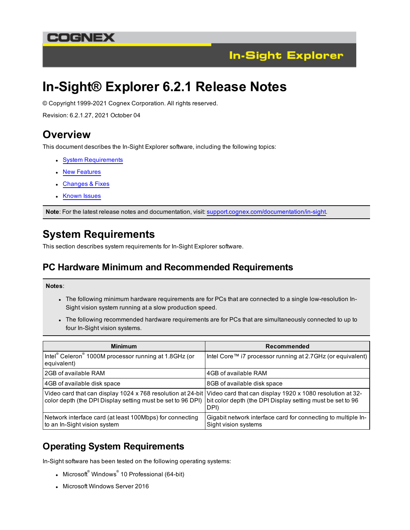### COGNEX



# **In-Sight® Explorer 6.2.1 Release Notes**

© Copyright 1999-2021 Cognex Corporation. All rights reserved.

Revision: 6.2.1.27, 2021 October 04

### **Overview**

This document describes the In-Sight Explorer software, including the following topics:

- System [Requirements](#page-0-0)
- New [Features](#page-2-0)
- [Changes](#page-2-1) & Fixes
- [Known](#page-3-0) Issues

<span id="page-0-0"></span>**Note**: For the latest release notes and documentation, visit: [support.cognex.com/documentation/in-sight.](https://support.cognex.com/documentation/in-sight)

## **System Requirements**

This section describes system requirements for In-Sight Explorer software.

#### **PC Hardware Minimum and Recommended Requirements**

#### **Notes**:

- . The following minimum hardware requirements are for PCs that are connected to a single low-resolution In-Sight vision system running at a slow production speed.
- The following recommended hardware requirements are for PCs that are simultaneously connected to up to four In-Sight vision systems.

| <b>Minimum</b>                                                                                                             | Recommended                                                                                                                     |
|----------------------------------------------------------------------------------------------------------------------------|---------------------------------------------------------------------------------------------------------------------------------|
| Intel® Celeron® 1000M processor running at 1.8GHz (or<br>equivalent)                                                       | Intel Core™ i7 processor running at 2.7GHz (or equivalent)                                                                      |
| l 2GB of available RAM                                                                                                     | 4GB of available RAM                                                                                                            |
| 4GB of available disk space                                                                                                | 8GB of available disk space                                                                                                     |
| Video card that can display 1024 x 768 resolution at 24-bit<br>color depth (the DPI Display setting must be set to 96 DPI) | Video card that can display 1920 x 1080 resolution at 32-<br>bit color depth (the DPI Display setting must be set to 96<br>DPI) |
| Network interface card (at least 100Mbps) for connecting<br>to an In-Sight vision system                                   | Gigabit network interface card for connecting to multiple In-<br>Sight vision systems                                           |

### **Operating System Requirements**

In-Sight software has been tested on the following operating systems:

- Microsoft $^{\circ}$  Windows $^{\circ}$  10 Professional (64-bit)
- Microsoft Windows Server 2016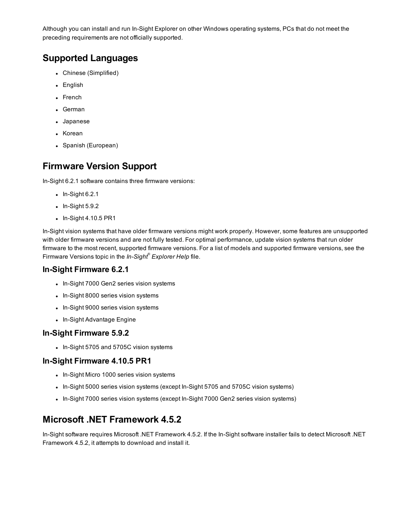Although you can install and run In-Sight Explorer on other Windows operating systems, PCs that do not meet the preceding requirements are not officially supported.

### **Supported Languages**

- Chinese (Simplified)
- English
- French
- German
- Japanese
- Korean
- Spanish (European)

#### **Firmware Version Support**

In-Sight 6.2.1 software contains three firmware versions:

- $\bullet$  In-Sight 6.2.1
- $\bullet$  In-Sight 5.9.2
- $\bullet$  In-Sight 4.10.5 PR1

In-Sight vision systems that have older firmware versions might work properly. However, some features are unsupported with older firmware versions and are not fully tested. For optimal performance, update vision systems that run older firmware to the most recent, supported firmware versions. For a list of models and supported firmware versions, see the Firmware Versions topic in the *In-Sight® Explorer Help* file.

#### **In-Sight Firmware 6.2.1**

- In-Sight 7000 Gen2 series vision systems
- In-Sight 8000 series vision systems
- In-Sight 9000 series vision systems
- In-Sight Advantage Engine

#### **In-Sight Firmware 5.9.2**

• In-Sight 5705 and 5705C vision systems

#### **In-Sight Firmware 4.10.5 PR1**

- In-Sight Micro 1000 series vision systems
- In-Sight 5000 series vision systems (except In-Sight 5705 and 5705C vision systems)
- In-Sight 7000 series vision systems (except In-Sight 7000 Gen2 series vision systems)

### **Microsoft .NET Framework 4.5.2**

In-Sight software requires Microsoft .NET Framework 4.5.2. If the In-Sight software installer fails to detect Microsoft .NET Framework 4.5.2, it attempts to download and install it.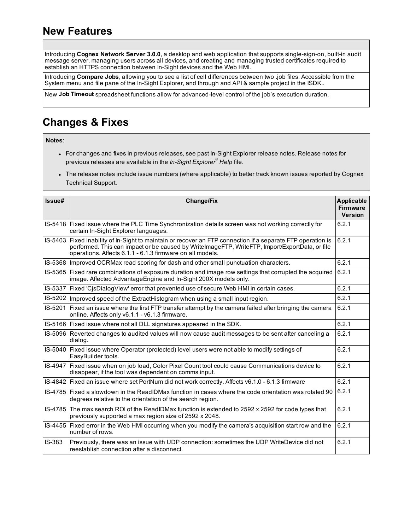## <span id="page-2-0"></span>**New Features**

Introducing **Cognex Network Server 3.0.0**, a desktop and web application that supports single-sign-on, built-in audit message server, managing users across all devices, and creating and managing trusted certificates required to establish an HTTPS connection between In-Sight devices and the Web HMI.

Introducing **Compare Jobs**, allowing you to see a list of cell differences between two .job files. Accessible from the System menu and file pane of the In-Sight Explorer, and through and API & sample project in the ISDK..

<span id="page-2-1"></span>New **Job Timeout** spreadsheet functions allow for advanced-level control of the job's execution duration.

## **Changes & Fixes**

**Notes**:

- For changes and fixes in previous releases, see past In-Sight Explorer release notes. Release notes for previous releases are available in the *In-Sight Explorer® Help* file.
- The release notes include issue numbers (where applicable) to better track known issues reported by Cognex Technical Support.

| Issue#  | <b>Change/Fix</b>                                                                                                                                                                                                                                                                   |       |  |
|---------|-------------------------------------------------------------------------------------------------------------------------------------------------------------------------------------------------------------------------------------------------------------------------------------|-------|--|
|         | IS-5418 Fixed issue where the PLC Time Synchronization details screen was not working correctly for<br>6.2.1<br>certain In-Sight Explorer languages.                                                                                                                                |       |  |
|         | 6.2.1<br>IS-5403 Fixed inability of In-Sight to maintain or recover an FTP connection if a separate FTP operation is<br>performed. This can impact or be caused by WritelmageFTP, WriteFTP, Import/ExportData, or file<br>operations. Affects 6.1.1 - 6.1.3 firmware on all models. |       |  |
|         | 6.2.1<br>IS-5368   Improved OCRMax read scoring for dash and other small punctuation characters.                                                                                                                                                                                    |       |  |
|         | IS-5365 Fixed rare combinations of exposure duration and image row settings that corrupted the acquired<br>image. Affected AdvantageEngine and In-Sight 200X models only.                                                                                                           | 6.2.1 |  |
|         | IS-5337 Fixed 'CisDialogView' error that prevented use of secure Web HMI in certain cases.                                                                                                                                                                                          | 6.2.1 |  |
|         | IS-5202   Improved speed of the ExtractHistogram when using a small input region.                                                                                                                                                                                                   | 6.2.1 |  |
|         | IS-5201 Fixed an issue where the first FTP transfer attempt by the camera failed after bringing the camera<br>online. Affects only v6.1.1 - v6.1.3 firmware.                                                                                                                        | 6.2.1 |  |
|         | IS-5166 Fixed issue where not all DLL signatures appeared in the SDK.                                                                                                                                                                                                               | 6.2.1 |  |
|         | IS-5096 Reverted changes to audited values will now cause audit messages to be sent after canceling a<br>dialog.                                                                                                                                                                    | 6.2.1 |  |
|         | IS-5040 Fixed issue where Operator (protected) level users were not able to modify settings of<br>EasyBuilder tools.                                                                                                                                                                | 6.2.1 |  |
| IS-4947 | Fixed issue when on job load, Color Pixel Count tool could cause Communications device to<br>disappear, if the tool was dependent on comms input.                                                                                                                                   | 6.2.1 |  |
|         | IS-4842 Fixed an issue where set PortNum did not work correctly. Affects v6.1.0 - 6.1.3 firmware                                                                                                                                                                                    | 6.2.1 |  |
|         | IS-4785 Fixed a slowdown in the ReadIDMax function in cases where the code orientation was rotated 90<br>degrees relative to the orientation of the search region.                                                                                                                  | 6.2.1 |  |
|         | IS-4785 The max search ROI of the ReadIDMax function is extended to 2592 x 2592 for code types that<br>previously supported a max region size of 2592 x 2048.                                                                                                                       | 6.2.1 |  |
|         | IS-4455   Fixed error in the Web HMI occurring when you modify the camera's acquisition start row and the<br>number of rows.                                                                                                                                                        | 6.2.1 |  |
| IS-383  | Previously, there was an issue with UDP connection: sometimes the UDP WriteDevice did not<br>reestablish connection after a disconnect.                                                                                                                                             | 6.2.1 |  |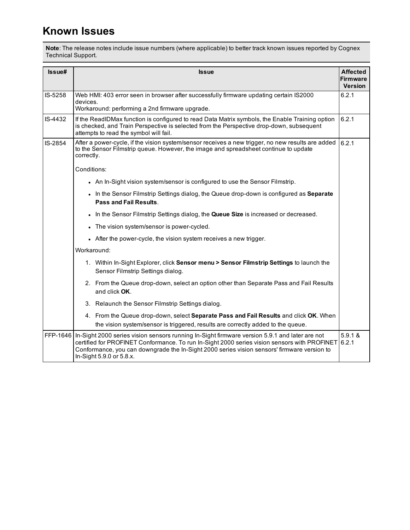## <span id="page-3-0"></span>**Known Issues**

**Note**: The release notes include issue numbers (where applicable) to better track known issues reported by Cognex Technical Support.

| Issue#   |                                                                                                                                                                                                                                                | <b>Issue</b>                                                                                                                                                                                                                                                                                                             | <b>Affected</b><br><b>Firmware</b><br><b>Version</b> |
|----------|------------------------------------------------------------------------------------------------------------------------------------------------------------------------------------------------------------------------------------------------|--------------------------------------------------------------------------------------------------------------------------------------------------------------------------------------------------------------------------------------------------------------------------------------------------------------------------|------------------------------------------------------|
| IS-5258  | 6.2.1<br>Web HMI: 403 error seen in browser after successfully firmware updating certain IS2000<br>devices.<br>Workaround: performing a 2nd firmware upgrade.                                                                                  |                                                                                                                                                                                                                                                                                                                          |                                                      |
| IS-4432  | 6.2.1<br>If the ReadIDMax function is configured to read Data Matrix symbols, the Enable Training option<br>is checked, and Train Perspective is selected from the Perspective drop-down, subsequent<br>attempts to read the symbol will fail. |                                                                                                                                                                                                                                                                                                                          |                                                      |
| IS-2854  | After a power-cycle, if the vision system/sensor receives a new trigger, no new results are added<br>to the Sensor Filmstrip queue. However, the image and spreadsheet continue to update<br>correctly.<br>Conditions:                         |                                                                                                                                                                                                                                                                                                                          | 6.2.1                                                |
|          |                                                                                                                                                                                                                                                |                                                                                                                                                                                                                                                                                                                          |                                                      |
|          |                                                                                                                                                                                                                                                | • An In-Sight vision system/sensor is configured to use the Sensor Filmstrip.                                                                                                                                                                                                                                            |                                                      |
|          |                                                                                                                                                                                                                                                | . In the Sensor Filmstrip Settings dialog, the Queue drop-down is configured as Separate<br>Pass and Fail Results.                                                                                                                                                                                                       |                                                      |
|          |                                                                                                                                                                                                                                                | In the Sensor Filmstrip Settings dialog, the Queue Size is increased or decreased.                                                                                                                                                                                                                                       |                                                      |
|          |                                                                                                                                                                                                                                                | The vision system/sensor is power-cycled.                                                                                                                                                                                                                                                                                |                                                      |
|          |                                                                                                                                                                                                                                                | • After the power-cycle, the vision system receives a new trigger.                                                                                                                                                                                                                                                       |                                                      |
|          |                                                                                                                                                                                                                                                | Workaround:                                                                                                                                                                                                                                                                                                              |                                                      |
|          |                                                                                                                                                                                                                                                | 1. Within In-Sight Explorer, click Sensor menu > Sensor Filmstrip Settings to launch the<br>Sensor Filmstrip Settings dialog.                                                                                                                                                                                            |                                                      |
|          |                                                                                                                                                                                                                                                | 2. From the Queue drop-down, select an option other than Separate Pass and Fail Results<br>and click OK.                                                                                                                                                                                                                 |                                                      |
|          |                                                                                                                                                                                                                                                | 3. Relaunch the Sensor Filmstrip Settings dialog.                                                                                                                                                                                                                                                                        |                                                      |
|          |                                                                                                                                                                                                                                                | 4. From the Queue drop-down, select Separate Pass and Fail Results and click OK. When<br>the vision system/sensor is triggered, results are correctly added to the queue.                                                                                                                                                |                                                      |
| FFP-1646 |                                                                                                                                                                                                                                                | In-Sight 2000 series vision sensors running In-Sight firmware version 5.9.1 and later are not<br>certified for PROFINET Conformance. To run In-Sight 2000 series vision sensors with PROFINET<br>Conformance, you can downgrade the In-Sight 2000 series vision sensors' firmware version to<br>In-Sight 5.9.0 or 5.8.x. | 5.9.1 &<br>6.2.1                                     |